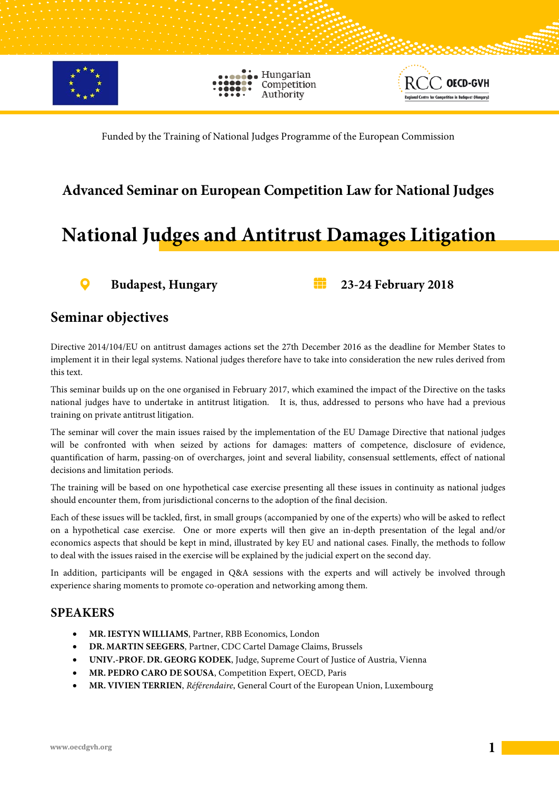

Hungarian Competition Authority



Funded by the Training of National Judges Programme of the European Commission

### **Advanced Seminar on European Competition Law for National Judges**

### **National Judges and Antitrust Damages Litigation**



**Budapest, Hungary 23-24 February 2018**

#### **Seminar objectives**

Directive 2014/104/EU on antitrust damages actions set the 27th December 2016 as the deadline for Member States to implement it in their legal systems. National judges therefore have to take into consideration the new rules derived from this text.

This seminar builds up on the one organised in February 2017, which examined the impact of the Directive on the tasks national judges have to undertake in antitrust litigation. It is, thus, addressed to persons who have had a previous training on private antitrust litigation.

The seminar will cover the main issues raised by the implementation of the EU Damage Directive that national judges will be confronted with when seized by actions for damages: matters of competence, disclosure of evidence, quantification of harm, passing-on of overcharges, joint and several liability, consensual settlements, effect of national decisions and limitation periods.

The training will be based on one hypothetical case exercise presenting all these issues in continuity as national judges should encounter them, from jurisdictional concerns to the adoption of the final decision.

Each of these issues will be tackled, first, in small groups (accompanied by one of the experts) who will be asked to reflect on a hypothetical case exercise. One or more experts will then give an in-depth presentation of the legal and/or economics aspects that should be kept in mind, illustrated by key EU and national cases. Finally, the methods to follow to deal with the issues raised in the exercise will be explained by the judicial expert on the second day.

In addition, participants will be engaged in Q&A sessions with the experts and will actively be involved through experience sharing moments to promote co-operation and networking among them.

#### **SPEAKERS**

- **MR.IESTYN WILLIAMS**, Partner, RBB Economics, London
- **DR. MARTIN SEEGERS**, Partner, CDC Cartel Damage Claims, Brussels
- **UNIV.-PROF. DR. GEORG KODEK**, Judge, Supreme Court of Justice of Austria, Vienna
- **MR. PEDRO CARO DE SOUSA**, Competition Expert, OECD, Paris
- **MR. VIVIEN TERRIEN**, *Référendaire*, General Court of the European Union, Luxembourg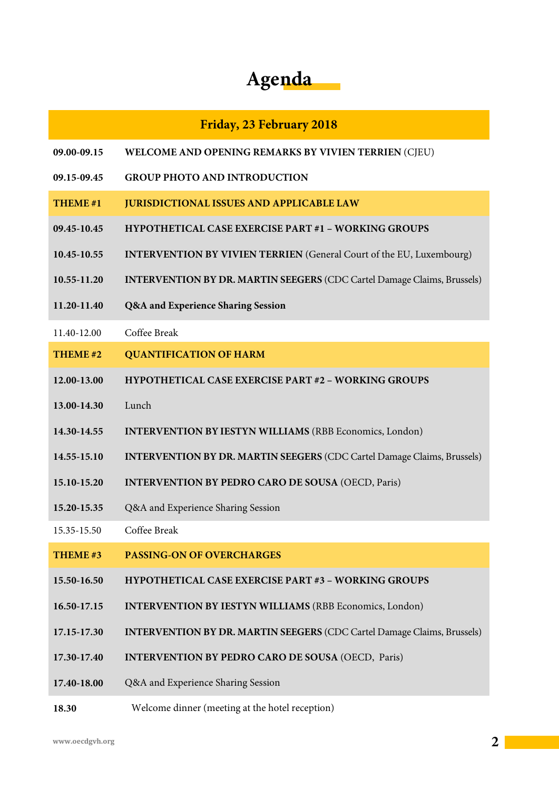# **Agenda**

#### **Friday, 23 February 2018**

- **09.00-09.15 WELCOME AND OPENING REMARKS BY VIVIEN TERRIEN** (CJEU)
- **09.15-09.45 GROUP PHOTO AND INTRODUCTION**
- **THEME #1 JURISDICTIONAL ISSUES AND APPLICABLE LAW**
- **09.45-10.45 HYPOTHETICAL CASE EXERCISE PART #1 – WORKING GROUPS**
- **10.45-10.55 INTERVENTION BY VIVIEN TERRIEN** (General Court of the EU, Luxembourg)
- **10.55-11.20 INTERVENTION BY DR. MARTIN SEEGERS** (CDC Cartel Damage Claims, Brussels)
- **11.20-11.40 Q&A and Experience Sharing Session**
- 11.40-12.00 Coffee Break
- **THEME #2 QUANTIFICATION OF HARM**
- **12.00-13.00 HYPOTHETICAL CASE EXERCISE PART #2 – WORKING GROUPS**
- **13.00-14.30** Lunch
- **14.30-14.55 INTERVENTION BYIESTYN WILLIAMS** (RBB Economics, London)
- **14.55-15.10 INTERVENTION BY DR. MARTIN SEEGERS** (CDC Cartel Damage Claims, Brussels)
- **15.10-15.20 INTERVENTION BY PEDRO CARO DE SOUSA** (OECD, Paris)
- **15.20-15.35** Q&A and Experience Sharing Session
- 15.35-15.50 Coffee Break
- **THEME #3 PASSING-ON OF OVERCHARGES**
- **15.50-16.50 HYPOTHETICAL CASE EXERCISE PART #3 – WORKING GROUPS**
- **16.50-17.15 INTERVENTION BY IESTYN WILLIAMS** (RBB Economics, London)
- **17.15-17.30 INTERVENTION BY DR. MARTIN SEEGERS** (CDC Cartel Damage Claims, Brussels)
- **17.30-17.40 INTERVENTION BY PEDRO CARO DE SOUSA** (OECD, Paris)
- **17.40-18.00** Q&A and Experience Sharing Session
- **18.30** Welcome dinner (meeting at the hotel reception)